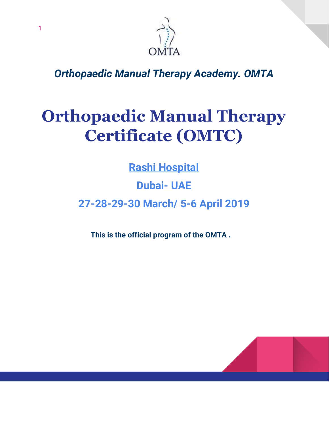

*Orthopaedic Manual Therapy Academy. OMTA*

## **Orthopaedic Manual Therapy Certificate (OMTC)**

**Rashi Hospital**

**Dubai- UAE**

**27-28-29-30 March/ 5-6 April 2019**

**This is the official program of the OMTA .**

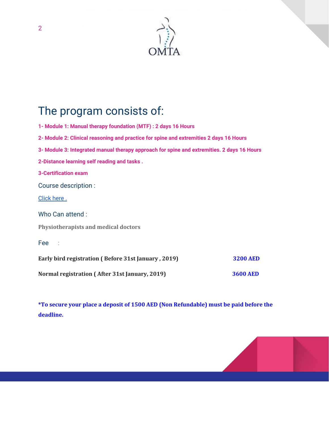

## The program consists of:

**1- Module 1: Manual therapy foundation (MTF) : 2 days 16 Hours 2- Module 2: Clinical reasoning and practice for spine and extremities 2 days 16 Hours 3- Module 3: Integrated manual therapy approach for spine and extremities. 2 days 16 Hours 2-Distance learning self reading and tasks . 3-Certification exam** Course description : [Click](https://docs.wixstatic.com/ugd/a87948_ab889ad2ac1c41f2b35df5a00219a0ee.pdf) here . Who Can attend : **Physiotherapists and medical doctors** Fee : **Early bird registration ( Before 31st January , 2019) 3200 AED Normal registration ( After 31st January, 2019) 3600 AED**

**\*To secure your place a deposit of 1500 AED (Non Refundable) must be paid before the deadline.**